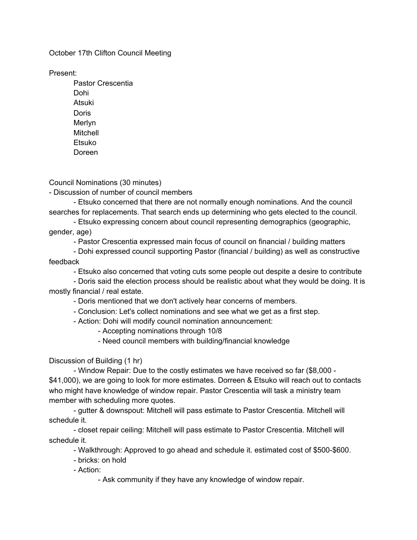October 17th Clifton Council Meeting

Present:

Pastor Crescentia Dohi Atsuki Doris Merlyn Mitchell Etsuko Doreen

Council Nominations (30 minutes)

- Discussion of number of council members

- Etsuko concerned that there are not normally enough nominations. And the council searches for replacements. That search ends up determining who gets elected to the council.

- Etsuko expressing concern about council representing demographics (geographic, gender, age)

- Pastor Crescentia expressed main focus of council on financial / building matters

- Dohi expressed council supporting Pastor (financial / building) as well as constructive feedback

- Etsuko also concerned that voting cuts some people out despite a desire to contribute

- Doris said the election process should be realistic about what they would be doing. It is mostly financial / real estate.

- Doris mentioned that we don't actively hear concerns of members.

- Conclusion: Let's collect nominations and see what we get as a first step.

- Action: Dohi will modify council nomination announcement:

- Accepting nominations through 10/8

- Need council members with building/financial knowledge

Discussion of Building (1 hr)

- Window Repair: Due to the costly estimates we have received so far (\$8,000 - \$41,000), we are going to look for more estimates. Dorreen & Etsuko will reach out to contacts who might have knowledge of window repair. Pastor Crescentia will task a ministry team member with scheduling more quotes.

- gutter & downspout: Mitchell will pass estimate to Pastor Crescentia. Mitchell will schedule it.

- closet repair ceiling: Mitchell will pass estimate to Pastor Crescentia. Mitchell will schedule it.

- Walkthrough: Approved to go ahead and schedule it. estimated cost of \$500-\$600.

- bricks: on hold

- Action:

- Ask community if they have any knowledge of window repair.